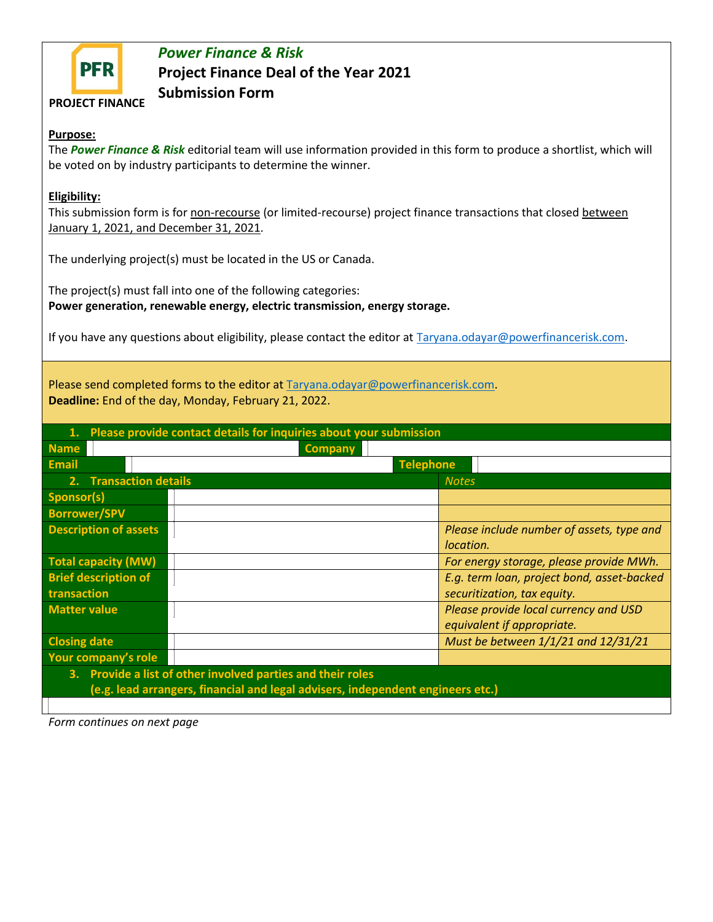

## *Power Finance & Risk* **Project Finance Deal of the Year 2021 Submission Form**

**PROJECT FINANCE**

## **Purpose:**

The *Power Finance & Risk* editorial team will use information provided in this form to produce a shortlist, which will be voted on by industry participants to determine the winner.

## **Eligibility:**

This submission form is for non-recourse (or limited-recourse) project finance transactions that closed between January 1, 2021, and December 31, 2021.

The underlying project(s) must be located in the US or Canada.

The project(s) must fall into one of the following categories: **Power generation, renewable energy, electric transmission, energy storage.**

If you have any questions about eligibility, please contact the editor at [Taryana.odayar@powerfinancerisk.com.](mailto:Taryana.odayar@powerfinancerisk.com)

Please send completed forms to the editor at [Taryana.odayar@powerfinancerisk.com.](mailto:Taryana.odayar@powerfinancerisk.com) **Deadline:** End of the day, Monday, February 21, 2022.

| Please provide contact details for inquiries about your submission<br>1.        |                                            |
|---------------------------------------------------------------------------------|--------------------------------------------|
| <b>Name</b><br><b>Company</b>                                                   |                                            |
| <b>Email</b>                                                                    | <b>Telephone</b>                           |
| 2. Transaction details                                                          | <b>Notes</b>                               |
| Sponsor(s)                                                                      |                                            |
| <b>Borrower/SPV</b>                                                             |                                            |
| <b>Description of assets</b>                                                    | Please include number of assets, type and  |
|                                                                                 | location.                                  |
| <b>Total capacity (MW)</b>                                                      | For energy storage, please provide MWh.    |
| <b>Brief description of</b>                                                     | E.g. term loan, project bond, asset-backed |
| transaction                                                                     | securitization, tax equity.                |
| <b>Matter value</b>                                                             | Please provide local currency and USD      |
|                                                                                 | equivalent if appropriate.                 |
| <b>Closing date</b>                                                             | Must be between 1/1/21 and 12/31/21        |
| Your company's role                                                             |                                            |
| 3. Provide a list of other involved parties and their roles                     |                                            |
| (e.g. lead arrangers, financial and legal advisers, independent engineers etc.) |                                            |
|                                                                                 |                                            |

*Form continues on next page*